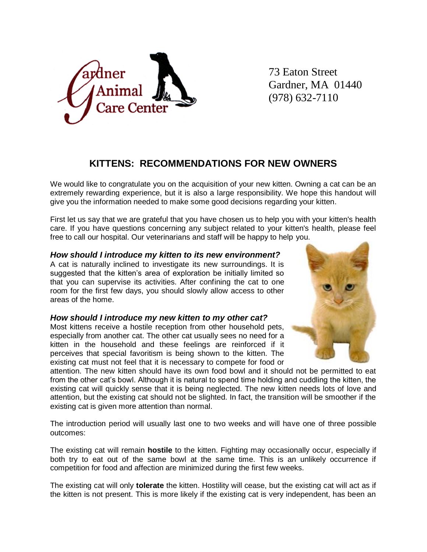

73 Eaton Street Gardner, MA 01440 (978) 632-7110

# **KITTENS: RECOMMENDATIONS FOR NEW OWNERS**

We would like to congratulate you on the acquisition of your new kitten. Owning a cat can be an extremely rewarding experience, but it is also a large responsibility. We hope this handout will give you the information needed to make some good decisions regarding your kitten.

First let us say that we are grateful that you have chosen us to help you with your kitten's health care. If you have questions concerning any subject related to your kitten's health, please feel free to call our hospital. Our veterinarians and staff will be happy to help you.

## *How should I introduce my kitten to its new environment?*

A cat is naturally inclined to investigate its new surroundings. It is suggested that the kitten's area of exploration be initially limited so that you can supervise its activities. After confining the cat to one room for the first few days, you should slowly allow access to other areas of the home.

#### *How should I introduce my new kitten to my other cat?*

Most kittens receive a hostile reception from other household pets, especially from another cat. The other cat usually sees no need for a kitten in the household and these feelings are reinforced if it perceives that special favoritism is being shown to the kitten. The existing cat must not feel that it is necessary to compete for food or



attention. The new kitten should have its own food bowl and it should not be permitted to eat from the other cat's bowl. Although it is natural to spend time holding and cuddling the kitten, the existing cat will quickly sense that it is being neglected. The new kitten needs lots of love and attention, but the existing cat should not be slighted. In fact, the transition will be smoother if the existing cat is given more attention than normal.

The introduction period will usually last one to two weeks and will have one of three possible outcomes:

The existing cat will remain **hostile** to the kitten. Fighting may occasionally occur, especially if both try to eat out of the same bowl at the same time. This is an unlikely occurrence if competition for food and affection are minimized during the first few weeks.

The existing cat will only **tolerate** the kitten. Hostility will cease, but the existing cat will act as if the kitten is not present. This is more likely if the existing cat is very independent, has been an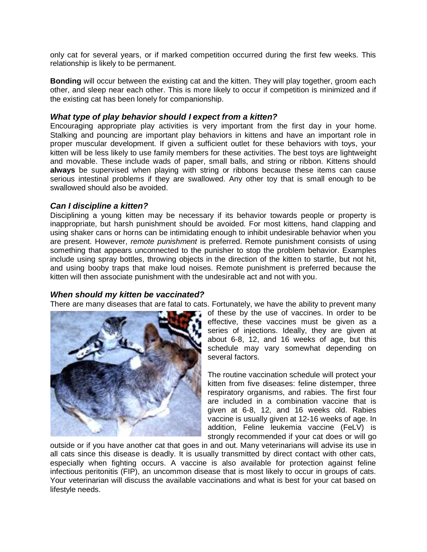only cat for several years, or if marked competition occurred during the first few weeks. This relationship is likely to be permanent.

**Bonding** will occur between the existing cat and the kitten. They will play together, groom each other, and sleep near each other. This is more likely to occur if competition is minimized and if the existing cat has been lonely for companionship.

## *What type of play behavior should I expect from a kitten?*

Encouraging appropriate play activities is very important from the first day in your home. Stalking and pouncing are important play behaviors in kittens and have an important role in proper muscular development. If given a sufficient outlet for these behaviors with toys, your kitten will be less likely to use family members for these activities. The best toys are lightweight and movable. These include wads of paper, small balls, and string or ribbon. Kittens should **always** be supervised when playing with string or ribbons because these items can cause serious intestinal problems if they are swallowed. Any other toy that is small enough to be swallowed should also be avoided.

## *Can I discipline a kitten?*

Disciplining a young kitten may be necessary if its behavior towards people or property is inappropriate, but harsh punishment should be avoided. For most kittens, hand clapping and using shaker cans or horns can be intimidating enough to inhibit undesirable behavior when you are present. However, *remote punishment* is preferred. Remote punishment consists of using something that appears unconnected to the punisher to stop the problem behavior. Examples include using spray bottles, throwing objects in the direction of the kitten to startle, but not hit, and using booby traps that make loud noises. Remote punishment is preferred because the kitten will then associate punishment with the undesirable act and not with you.

## *When should my kitten be vaccinated?*

There are many diseases that are fatal to cats. Fortunately, we have the ability to prevent many



of these by the use of vaccines. In order to be effective, these vaccines must be given as a series of injections. Ideally, they are given at about 6-8, 12, and 16 weeks of age, but this schedule may vary somewhat depending on several factors.

The routine vaccination schedule will protect your kitten from five diseases: feline distemper, three respiratory organisms, and rabies. The first four are included in a combination vaccine that is given at 6-8, 12, and 16 weeks old. Rabies vaccine is usually given at 12-16 weeks of age. In addition, Feline leukemia vaccine (FeLV) is strongly recommended if your cat does or will go

outside or if you have another cat that goes in and out. Many veterinarians will advise its use in all cats since this disease is deadly. It is usually transmitted by direct contact with other cats, especially when fighting occurs. A vaccine is also available for protection against feline infectious peritonitis (FIP), an uncommon disease that is most likely to occur in groups of cats. Your veterinarian will discuss the available vaccinations and what is best for your cat based on lifestyle needs.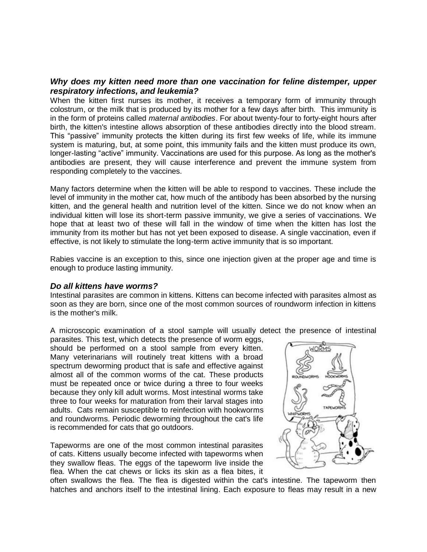#### *Why does my kitten need more than one vaccination for feline distemper, upper respiratory infections, and leukemia?*

When the kitten first nurses its mother, it receives a temporary form of immunity through colostrum, or the milk that is produced by its mother for a few days after birth. This immunity is in the form of proteins called *maternal antibodies*. For about twenty-four to forty-eight hours after birth, the kitten's intestine allows absorption of these antibodies directly into the blood stream. This "passive" immunity protects the kitten during its first few weeks of life, while its immune system is maturing, but, at some point, this immunity fails and the kitten must produce its own, longer-lasting "active" immunity. Vaccinations are used for this purpose. As long as the mother's antibodies are present, they will cause interference and prevent the immune system from responding completely to the vaccines.

Many factors determine when the kitten will be able to respond to vaccines. These include the level of immunity in the mother cat, how much of the antibody has been absorbed by the nursing kitten, and the general health and nutrition level of the kitten. Since we do not know when an individual kitten will lose its short-term passive immunity, we give a series of vaccinations. We hope that at least two of these will fall in the window of time when the kitten has lost the immunity from its mother but has not yet been exposed to disease. A single vaccination, even if effective, is not likely to stimulate the long-term active immunity that is so important.

Rabies vaccine is an exception to this, since one injection given at the proper age and time is enough to produce lasting immunity.

#### *Do all kittens have worms?*

Intestinal parasites are common in kittens. Kittens can become infected with parasites almost as soon as they are born, since one of the most common sources of roundworm infection in kittens is the mother's milk.

A microscopic examination of a stool sample will usually detect the presence of intestinal

parasites. This test, which detects the presence of worm eggs, should be performed on a stool sample from every kitten. Many veterinarians will routinely treat kittens with a broad spectrum deworming product that is safe and effective against almost all of the common worms of the cat. These products must be repeated once or twice during a three to four weeks because they only kill adult worms. Most intestinal worms take three to four weeks for maturation from their larval stages into adults. Cats remain susceptible to reinfection with hookworms and roundworms. Periodic deworming throughout the cat's life is recommended for cats that go outdoors.

Tapeworms are one of the most common intestinal parasites of cats. Kittens usually become infected with tapeworms when they swallow fleas. The eggs of the tapeworm live inside the flea. When the cat chews or licks its skin as a flea bites, it



often swallows the flea. The flea is digested within the cat's intestine. The tapeworm then hatches and anchors itself to the intestinal lining. Each exposure to fleas may result in a new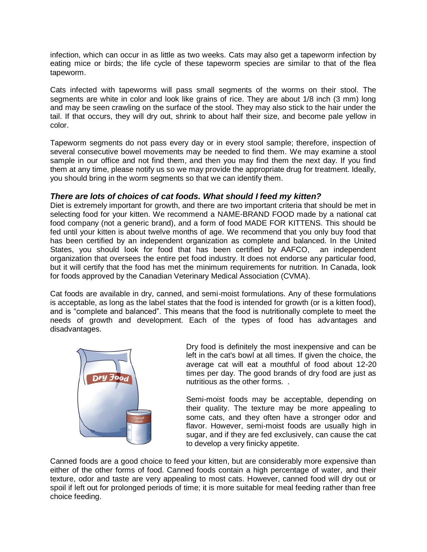infection, which can occur in as little as two weeks. Cats may also get a tapeworm infection by eating mice or birds; the life cycle of these tapeworm species are similar to that of the flea tapeworm.

Cats infected with tapeworms will pass small segments of the worms on their stool. The segments are white in color and look like grains of rice. They are about 1/8 inch (3 mm) long and may be seen crawling on the surface of the stool. They may also stick to the hair under the tail. If that occurs, they will dry out, shrink to about half their size, and become pale yellow in color.

Tapeworm segments do not pass every day or in every stool sample; therefore, inspection of several consecutive bowel movements may be needed to find them. We may examine a stool sample in our office and not find them, and then you may find them the next day. If you find them at any time, please notify us so we may provide the appropriate drug for treatment. Ideally, you should bring in the worm segments so that we can identify them.

## *There are lots of choices of cat foods. What should I feed my kitten?*

Diet is extremely important for growth, and there are two important criteria that should be met in selecting food for your kitten. We recommend a NAME-BRAND FOOD made by a national cat food company (not a generic brand), and a form of food MADE FOR KITTENS. This should be fed until your kitten is about twelve months of age. We recommend that you only buy food that has been certified by an independent organization as complete and balanced. In the United States, you should look for food that has been certified by AAFCO, an independent organization that oversees the entire pet food industry. It does not endorse any particular food, but it will certify that the food has met the minimum requirements for nutrition. In Canada, look for foods approved by the Canadian Veterinary Medical Association (CVMA).

Cat foods are available in dry, canned, and semi-moist formulations. Any of these formulations is acceptable, as long as the label states that the food is intended for growth (or is a kitten food), and is "complete and balanced". This means that the food is nutritionally complete to meet the needs of growth and development. Each of the types of food has advantages and disadvantages.



Dry food is definitely the most inexpensive and can be left in the cat's bowl at all times. If given the choice, the average cat will eat a mouthful of food about 12-20 times per day. The good brands of dry food are just as nutritious as the other forms. .

Semi-moist foods may be acceptable, depending on their quality. The texture may be more appealing to some cats, and they often have a stronger odor and flavor. However, semi-moist foods are usually high in sugar, and if they are fed exclusively, can cause the cat to develop a very finicky appetite.

Canned foods are a good choice to feed your kitten, but are considerably more expensive than either of the other forms of food. Canned foods contain a high percentage of water, and their texture, odor and taste are very appealing to most cats. However, canned food will dry out or spoil if left out for prolonged periods of time; it is more suitable for meal feeding rather than free choice feeding.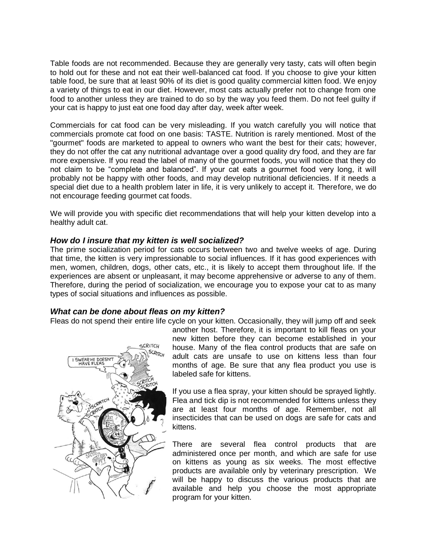Table foods are not recommended. Because they are generally very tasty, cats will often begin to hold out for these and not eat their well-balanced cat food. If you choose to give your kitten table food, be sure that at least 90% of its diet is good quality commercial kitten food. We enjoy a variety of things to eat in our diet. However, most cats actually prefer not to change from one food to another unless they are trained to do so by the way you feed them. Do not feel guilty if your cat is happy to just eat one food day after day, week after week.

Commercials for cat food can be very misleading. If you watch carefully you will notice that commercials promote cat food on one basis: TASTE. Nutrition is rarely mentioned. Most of the "gourmet" foods are marketed to appeal to owners who want the best for their cats; however, they do not offer the cat any nutritional advantage over a good quality dry food, and they are far more expensive. If you read the label of many of the gourmet foods, you will notice that they do not claim to be "complete and balanced". If your cat eats a gourmet food very long, it will probably not be happy with other foods, and may develop nutritional deficiencies. If it needs a special diet due to a health problem later in life, it is very unlikely to accept it. Therefore, we do not encourage feeding gourmet cat foods.

We will provide you with specific diet recommendations that will help your kitten develop into a healthy adult cat.

## *How do I insure that my kitten is well socialized?*

The prime socialization period for cats occurs between two and twelve weeks of age. During that time, the kitten is very impressionable to social influences. If it has good experiences with men, women, children, dogs, other cats, etc., it is likely to accept them throughout life. If the experiences are absent or unpleasant, it may become apprehensive or adverse to any of them. Therefore, during the period of socialization, we encourage you to expose your cat to as many types of social situations and influences as possible.

# *What can be done about fleas on my kitten?*

Fleas do not spend their entire life cycle on your kitten. Occasionally, they will jump off and seek



another host. Therefore, it is important to kill fleas on your new kitten before they can become established in your house. Many of the flea control products that are safe on adult cats are unsafe to use on kittens less than four months of age. Be sure that any flea product you use is labeled safe for kittens.

If you use a flea spray, your kitten should be sprayed lightly. Flea and tick dip is not recommended for kittens unless they are at least four months of age. Remember, not all insecticides that can be used on dogs are safe for cats and kittens.

There are several flea control products that are administered once per month, and which are safe for use on kittens as young as six weeks. The most effective products are available only by veterinary prescription. We will be happy to discuss the various products that are available and help you choose the most appropriate program for your kitten.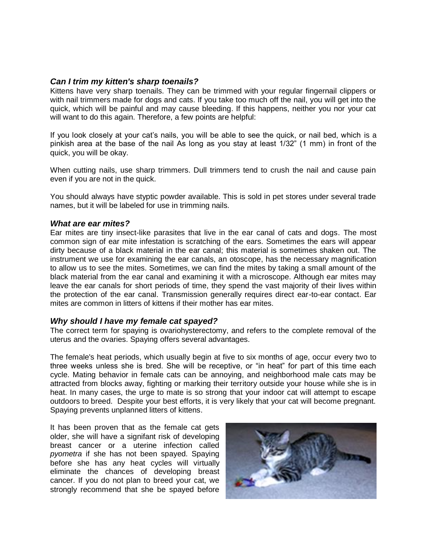#### *Can I trim my kitten's sharp toenails?*

Kittens have very sharp toenails. They can be trimmed with your regular fingernail clippers or with nail trimmers made for dogs and cats. If you take too much off the nail, you will get into the quick, which will be painful and may cause bleeding. If this happens, neither you nor your cat will want to do this again. Therefore, a few points are helpful:

If you look closely at your cat's nails, you will be able to see the quick, or nail bed, which is a pinkish area at the base of the nail As long as you stay at least 1/32" (1 mm) in front of the quick, you will be okay.

When cutting nails, use sharp trimmers. Dull trimmers tend to crush the nail and cause pain even if you are not in the quick.

You should always have styptic powder available. This is sold in pet stores under several trade names, but it will be labeled for use in trimming nails.

#### *What are ear mites?*

Ear mites are tiny insect-like parasites that live in the ear canal of cats and dogs. The most common sign of ear mite infestation is scratching of the ears. Sometimes the ears will appear dirty because of a black material in the ear canal; this material is sometimes shaken out. The instrument we use for examining the ear canals, an otoscope, has the necessary magnification to allow us to see the mites. Sometimes, we can find the mites by taking a small amount of the black material from the ear canal and examining it with a microscope. Although ear mites may leave the ear canals for short periods of time, they spend the vast majority of their lives within the protection of the ear canal. Transmission generally requires direct ear-to-ear contact. Ear mites are common in litters of kittens if their mother has ear mites.

#### *Why should I have my female cat spayed?*

The correct term for spaying is ovariohysterectomy, and refers to the complete removal of the uterus and the ovaries. Spaying offers several advantages.

The female's heat periods, which usually begin at five to six months of age, occur every two to three weeks unless she is bred. She will be receptive, or "in heat" for part of this time each cycle. Mating behavior in female cats can be annoying, and neighborhood male cats may be attracted from blocks away, fighting or marking their territory outside your house while she is in heat. In many cases, the urge to mate is so strong that your indoor cat will attempt to escape outdoors to breed. Despite your best efforts, it is very likely that your cat will become pregnant. Spaying prevents unplanned litters of kittens.

It has been proven that as the female cat gets older, she will have a signifant risk of developing breast cancer or a uterine infection called *pyometra* if she has not been spayed. Spaying before she has any heat cycles will virtually eliminate the chances of developing breast cancer. If you do not plan to breed your cat, we strongly recommend that she be spayed before

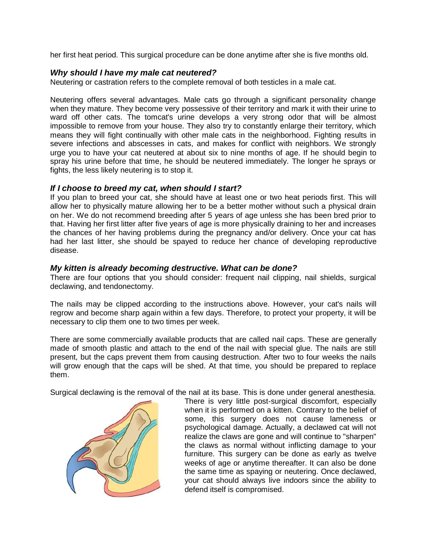her first heat period. This surgical procedure can be done anytime after she is five months old.

## *Why should I have my male cat neutered?*

Neutering or castration refers to the complete removal of both testicles in a male cat.

Neutering offers several advantages. Male cats go through a significant personality change when they mature. They become very possessive of their territory and mark it with their urine to ward off other cats. The tomcat's urine develops a very strong odor that will be almost impossible to remove from your house. They also try to constantly enlarge their territory, which means they will fight continually with other male cats in the neighborhood. Fighting results in severe infections and abscesses in cats, and makes for conflict with neighbors. We strongly urge you to have your cat neutered at about six to nine months of age. If he should begin to spray his urine before that time, he should be neutered immediately. The longer he sprays or fights, the less likely neutering is to stop it.

## *If I choose to breed my cat, when should I start?*

If you plan to breed your cat, she should have at least one or two heat periods first. This will allow her to physically mature allowing her to be a better mother without such a physical drain on her. We do not recommend breeding after 5 years of age unless she has been bred prior to that. Having her first litter after five years of age is more physically draining to her and increases the chances of her having problems during the pregnancy and/or delivery. Once your cat has had her last litter, she should be spayed to reduce her chance of developing reproductive disease.

# *My kitten is already becoming destructive. What can be done?*

There are four options that you should consider: frequent nail clipping, nail shields, surgical declawing, and tendonectomy.

The nails may be clipped according to the instructions above. However, your cat's nails will regrow and become sharp again within a few days. Therefore, to protect your property, it will be necessary to clip them one to two times per week.

There are some commercially available products that are called nail caps. These are generally made of smooth plastic and attach to the end of the nail with special glue. The nails are still present, but the caps prevent them from causing destruction. After two to four weeks the nails will grow enough that the caps will be shed. At that time, you should be prepared to replace them.

Surgical declawing is the removal of the nail at its base. This is done under general anesthesia.



There is very little post-surgical discomfort, especially when it is performed on a kitten. Contrary to the belief of some, this surgery does not cause lameness or psychological damage. Actually, a declawed cat will not realize the claws are gone and will continue to "sharpen" the claws as normal without inflicting damage to your furniture. This surgery can be done as early as twelve weeks of age or anytime thereafter. It can also be done the same time as spaying or neutering. Once declawed, your cat should always live indoors since the ability to defend itself is compromised.